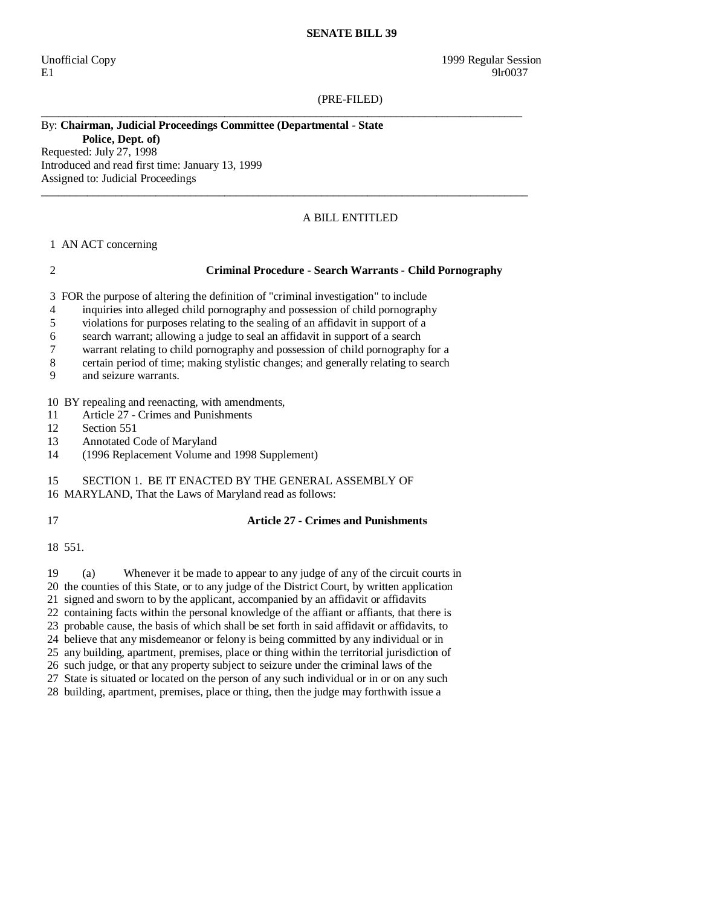#### **SENATE BILL 39**

E1 9lr0037

(PRE-FILED)

\_\_\_\_\_\_\_\_\_\_\_\_\_\_\_\_\_\_\_\_\_\_\_\_\_\_\_\_\_\_\_\_\_\_\_\_\_\_\_\_\_\_\_\_\_\_\_\_\_\_\_\_\_\_\_\_\_\_\_\_\_\_\_\_\_\_\_\_\_\_\_\_\_\_\_\_\_\_\_\_\_\_\_\_

 $\_$  ,  $\_$  ,  $\_$  ,  $\_$  ,  $\_$  ,  $\_$  ,  $\_$  ,  $\_$  ,  $\_$  ,  $\_$  ,  $\_$  ,  $\_$  ,  $\_$  ,  $\_$  ,  $\_$  ,  $\_$  ,  $\_$  ,  $\_$  ,  $\_$  ,  $\_$  ,  $\_$  ,  $\_$  ,  $\_$  ,  $\_$  ,  $\_$  ,  $\_$  ,  $\_$  ,  $\_$  ,  $\_$  ,  $\_$  ,  $\_$  ,  $\_$  ,  $\_$  ,  $\_$  ,  $\_$  ,  $\_$  ,  $\_$  ,

# By: **Chairman, Judicial Proceedings Committee (Departmental - State**

**Police, Dept. of)**  Requested: July 27, 1998 Introduced and read first time: January 13, 1999 Assigned to: Judicial Proceedings

## A BILL ENTITLED

### 1 AN ACT concerning

### 2 **Criminal Procedure - Search Warrants - Child Pornography**

3 FOR the purpose of altering the definition of "criminal investigation" to include

- 4 inquiries into alleged child pornography and possession of child pornography
- 5 violations for purposes relating to the sealing of an affidavit in support of a
- 6 search warrant; allowing a judge to seal an affidavit in support of a search
- 7 warrant relating to child pornography and possession of child pornography for a
- 8 certain period of time; making stylistic changes; and generally relating to search
- 9 and seizure warrants.

10 BY repealing and reenacting, with amendments,

- 11 Article 27 Crimes and Punishments
- 12 Section 551
- 13 Annotated Code of Maryland
- 14 (1996 Replacement Volume and 1998 Supplement)

## 15 SECTION 1. BE IT ENACTED BY THE GENERAL ASSEMBLY OF

- 16 MARYLAND, That the Laws of Maryland read as follows:
- 

## 17 **Article 27 - Crimes and Punishments**

18 551.

 19 (a) Whenever it be made to appear to any judge of any of the circuit courts in 20 the counties of this State, or to any judge of the District Court, by written application 21 signed and sworn to by the applicant, accompanied by an affidavit or affidavits 22 containing facts within the personal knowledge of the affiant or affiants, that there is 23 probable cause, the basis of which shall be set forth in said affidavit or affidavits, to 24 believe that any misdemeanor or felony is being committed by any individual or in 25 any building, apartment, premises, place or thing within the territorial jurisdiction of 26 such judge, or that any property subject to seizure under the criminal laws of the 27 State is situated or located on the person of any such individual or in or on any such 28 building, apartment, premises, place or thing, then the judge may forthwith issue a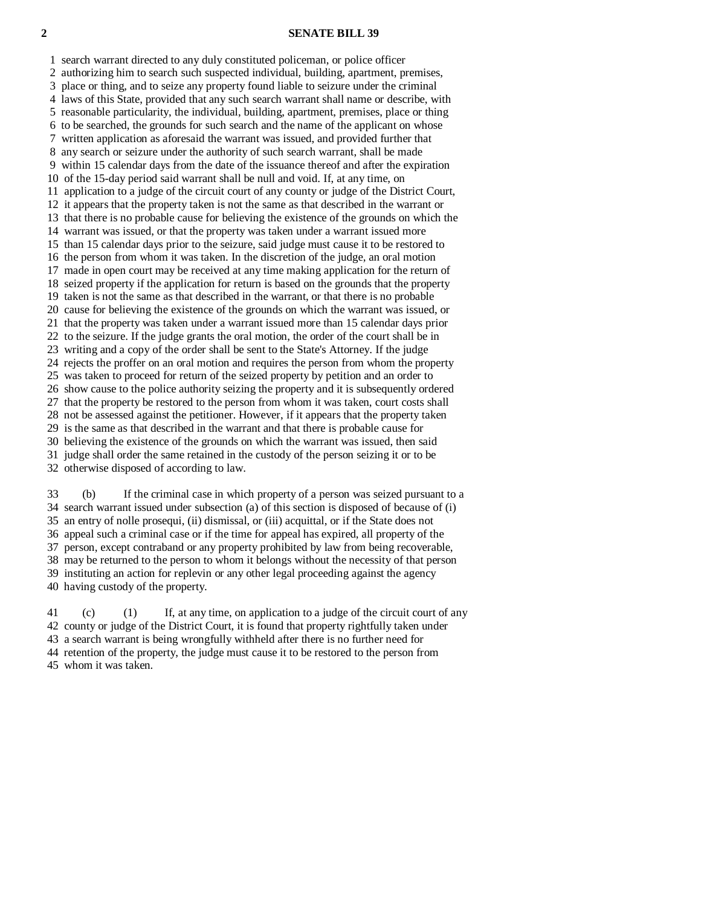### **2 SENATE BILL 39**

 1 search warrant directed to any duly constituted policeman, or police officer 2 authorizing him to search such suspected individual, building, apartment, premises, 3 place or thing, and to seize any property found liable to seizure under the criminal 4 laws of this State, provided that any such search warrant shall name or describe, with 5 reasonable particularity, the individual, building, apartment, premises, place or thing 6 to be searched, the grounds for such search and the name of the applicant on whose 7 written application as aforesaid the warrant was issued, and provided further that 8 any search or seizure under the authority of such search warrant, shall be made 9 within 15 calendar days from the date of the issuance thereof and after the expiration 10 of the 15-day period said warrant shall be null and void. If, at any time, on 11 application to a judge of the circuit court of any county or judge of the District Court, 12 it appears that the property taken is not the same as that described in the warrant or 13 that there is no probable cause for believing the existence of the grounds on which the 14 warrant was issued, or that the property was taken under a warrant issued more 15 than 15 calendar days prior to the seizure, said judge must cause it to be restored to 16 the person from whom it was taken. In the discretion of the judge, an oral motion 17 made in open court may be received at any time making application for the return of 18 seized property if the application for return is based on the grounds that the property 19 taken is not the same as that described in the warrant, or that there is no probable 20 cause for believing the existence of the grounds on which the warrant was issued, or 21 that the property was taken under a warrant issued more than 15 calendar days prior 22 to the seizure. If the judge grants the oral motion, the order of the court shall be in 23 writing and a copy of the order shall be sent to the State's Attorney. If the judge 24 rejects the proffer on an oral motion and requires the person from whom the property 25 was taken to proceed for return of the seized property by petition and an order to 26 show cause to the police authority seizing the property and it is subsequently ordered 27 that the property be restored to the person from whom it was taken, court costs shall 28 not be assessed against the petitioner. However, if it appears that the property taken 29 is the same as that described in the warrant and that there is probable cause for 30 believing the existence of the grounds on which the warrant was issued, then said 31 judge shall order the same retained in the custody of the person seizing it or to be

32 otherwise disposed of according to law.

 33 (b) If the criminal case in which property of a person was seized pursuant to a 34 search warrant issued under subsection (a) of this section is disposed of because of (i) 35 an entry of nolle prosequi, (ii) dismissal, or (iii) acquittal, or if the State does not 36 appeal such a criminal case or if the time for appeal has expired, all property of the 37 person, except contraband or any property prohibited by law from being recoverable, 38 may be returned to the person to whom it belongs without the necessity of that person 39 instituting an action for replevin or any other legal proceeding against the agency 40 having custody of the property.

 41 (c) (1) If, at any time, on application to a judge of the circuit court of any 42 county or judge of the District Court, it is found that property rightfully taken under 43 a search warrant is being wrongfully withheld after there is no further need for 44 retention of the property, the judge must cause it to be restored to the person from 45 whom it was taken.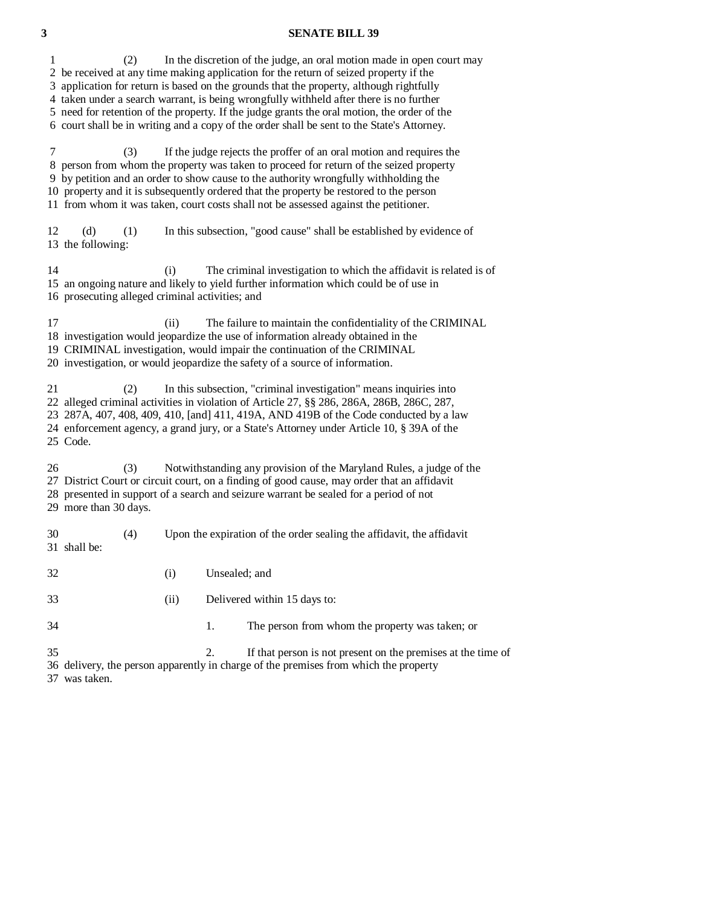### **3 SENATE BILL 39**

 2 be received at any time making application for the return of seized property if the 3 application for return is based on the grounds that the property, although rightfully 4 taken under a search warrant, is being wrongfully withheld after there is no further 5 need for retention of the property. If the judge grants the oral motion, the order of the 6 court shall be in writing and a copy of the order shall be sent to the State's Attorney. 7 (3) If the judge rejects the proffer of an oral motion and requires the 8 person from whom the property was taken to proceed for return of the seized property 9 by petition and an order to show cause to the authority wrongfully withholding the 10 property and it is subsequently ordered that the property be restored to the person 11 from whom it was taken, court costs shall not be assessed against the petitioner. 12 (d) (1) In this subsection, "good cause" shall be established by evidence of 13 the following: 14 (i) The criminal investigation to which the affidavit is related is of 15 an ongoing nature and likely to yield further information which could be of use in 16 prosecuting alleged criminal activities; and 17 (ii) The failure to maintain the confidentiality of the CRIMINAL 18 investigation would jeopardize the use of information already obtained in the 19 CRIMINAL investigation, would impair the continuation of the CRIMINAL 20 investigation, or would jeopardize the safety of a source of information. 21 (2) In this subsection, "criminal investigation" means inquiries into 22 alleged criminal activities in violation of Article 27, §§ 286, 286A, 286B, 286C, 287, 23 287A, 407, 408, 409, 410, [and] 411, 419A, AND 419B of the Code conducted by a law 24 enforcement agency, a grand jury, or a State's Attorney under Article 10, § 39A of the 25 Code. 26 (3) Notwithstanding any provision of the Maryland Rules, a judge of the 27 District Court or circuit court, on a finding of good cause, may order that an affidavit 28 presented in support of a search and seizure warrant be sealed for a period of not 29 more than 30 days. 30 (4) Upon the expiration of the order sealing the affidavit, the affidavit 31 shall be: 32 (i) Unsealed; and 33 (ii) Delivered within 15 days to: 34 1. The person from whom the property was taken; or 35 2. If that person is not present on the premises at the time of 36 delivery, the person apparently in charge of the premises from which the property

1 (2) In the discretion of the judge, an oral motion made in open court may

37 was taken.